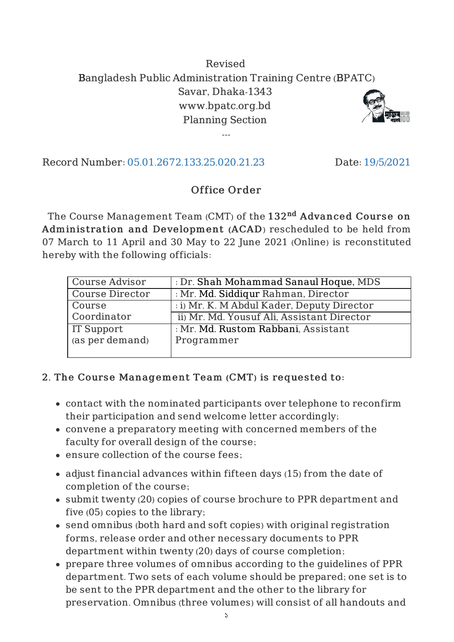## Revised Bangladesh Public Administration Training Centre (BPATC) Savar, Dhaka-1343 www.bpatc.org.bd Planning Section

---



Record Number: 05.01.2672.133.25.020.21.23 Date: 19/5/2021

## Office Order

The Course Management Team  $\left( {\rm CMT}\right)$  of the  $132^{\rm nd}$   ${\rm Advanced~Course~on}$ Administration and Development (ACAD) rescheduled to be held from 07 March to 11 April and 30 May to 22 June 2021 (Online) is reconstituted hereby with the following officials:

| Course Advisor    | : Dr. Shah Mohammad Sanaul Hoque, MDS      |
|-------------------|--------------------------------------------|
| Course Director   | : Mr. Md. Siddiqur Rahman, Director        |
| Course            | : i) Mr. K. M Abdul Kader, Deputy Director |
| Coordinator       | ii) Mr. Md. Yousuf Ali, Assistant Director |
| <b>IT Support</b> | : Mr. Md. Rustom Rabbani, Assistant        |
| (as per demand)   | Programmer                                 |
|                   |                                            |

## 2. The Course Management Team (CMT) is requested to:

- contact with the nominated participants over telephone to reconfirm their participation and send welcome letter accordingly;
- convene a preparatory meeting with concerned members of the faculty for overall design of the course;
- ensure collection of the course fees;
- adjust financial advances within fifteen days (15) from the date of completion of the course;
- submit twenty (20) copies of course brochure to PPR department and five (05) copies to the library;
- send omnibus (both hard and soft copies) with original registration forms, release order and other necessary documents to PPR department within twenty (20) days of course completion;
- prepare three volumes of omnibus according to the guidelines of PPR department. Two sets of each volume should be prepared; one set is to be sent to the PPR department and the other to the library for preservation. Omnibus (three volumes) will consist of all handouts and